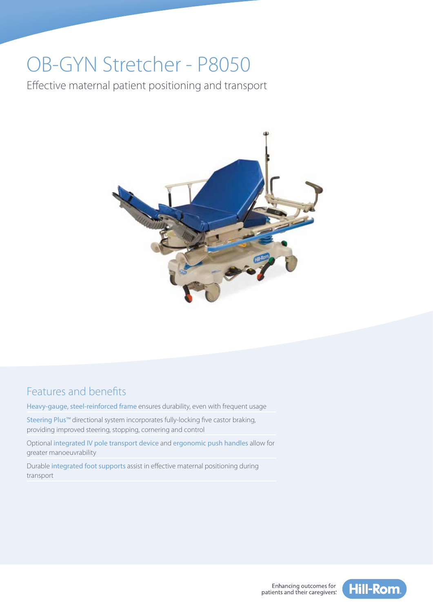# OB-GYN Stretcher - P8050

Effective maternal patient positioning and transport



# Features and benefits

Heavy-gauge, steel-reinforced frame ensures durability, even with frequent usage

Steering Plus™ directional system incorporates fully-locking five castor braking, providing improved steering, stopping, cornering and control

Optional integrated IV pole transport device and ergonomic push handles allow for greater manoeuvrability

Durable integrated foot supports assist in effective maternal positioning during transport